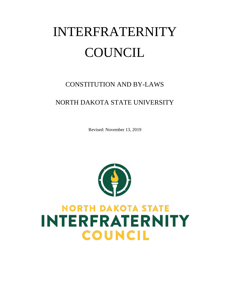# INTERFRATERNITY **COUNCIL**

## CONSTITUTION AND BY-LAWS

### NORTH DAKOTA STATE UNIVERSITY

Revised: November 13, 2019



## **NORTH DAKOTA STATE INTERFRATERNITY COUNCIL**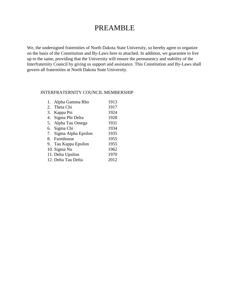## PREAMBLE

We, the undersigned fraternities of North Dakota State University, so hereby agree to organize on the basis of the Constitution and By-Laws here to attached. In addition, we guarantee to live up to the same, providing that the University will ensure the permanency and stability of the Interfraternity Council by giving us support and assistance. This Constitution and By-Laws shall govern all fraternities at North Dakota State University.

#### INTERFRATERNITY COUNCIL MEMBERSHIP

| 1. Alpha Gamma Rho     | 1913 |
|------------------------|------|
| 2. Theta Chi           | 1917 |
| 3. Kappa Psi           | 1924 |
| 4. Sigma Phi Delta     | 1928 |
| 5. Alpha Tau Omega     | 1931 |
| 6. Sigma Chi           | 1934 |
| 7. Sigma Alpha Epsilon | 1935 |
| 8. Farmhouse           | 1955 |
| 9. Tau Kappa Epsilon   | 1955 |
| 10. Sigma Nu           | 1962 |
| 11. Delta Upsilon      | 1970 |
| 12. Delta Tau Delta    | 2012 |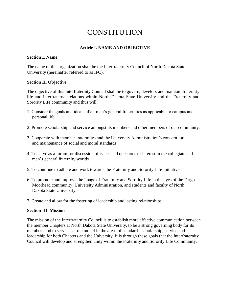## **CONSTITUTION**

#### **Article I. NAME AND OBJECTIVE**

#### **Section I. Name**

The name of this organization shall be the Interfraternity Council of North Dakota State University (hereinafter referred to as IFC).

#### **Section II. Objective**

The objective of this Interfraternity Council shall be to govern, develop, and maintain fraternity life and interfraternal relations within North Dakota State University and the Fraternity and Sorority Life community and thus will:

- 1. Consider the goals and ideals of all men's general fraternities as applicable to campus and personal life.
- 2. Promote scholarship and service amongst its members and other members of our community.
- 3. Cooperate with member fraternities and the University Administration's concern for and maintenance of social and moral standards.
- 4. To serve as a forum for discussion of issues and questions of interest in the collegiate and men's general fraternity worlds.
- 5. To continue to adhere and work towards the Fraternity and Sorority Life Initiatives.
- 6. To promote and improve the image of Fraternity and Sorority Life in the eyes of the Fargo Moorhead community, University Administration, and students and faculty of North Dakota State University.
- 7. Create and allow for the fostering of leadership and lasting relationships

#### **Section III. Mission**

The mission of the Interfraternity Council is to establish more effective communication between the member Chapters at North Dakota State University, to be a strong governing body for its members and to serve as a role model in the areas of standards, scholarship, service and leadership for both Chapters and the University. It is through these goals that the Interfraternity Council will develop and strengthen unity within the Fraternity and Sorority Life Community.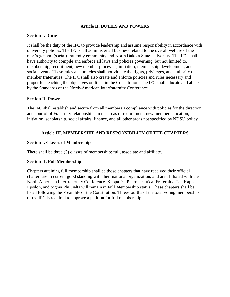#### **Article II. DUTIES AND POWERS**

#### **Section I. Duties**

It shall be the duty of the IFC to provide leadership and assume responsibility in accordance with university policies. The IFC shall administer all business related to the overall welfare of the men's general (social) fraternity community and North Dakota State University. The IFC shall have authority to compile and enforce all laws and policies governing, but not limited to, membership, recruitment, new member processes, initiation, membership development, and social events. These rules and policies shall not violate the rights, privileges, and authority of member fraternities. The IFC shall also create and enforce policies and rules necessary and proper for reaching the objectives outlined in the Constitution. The IFC shall educate and abide by the Standards of the North-American Interfraternity Conference.

#### **Section II. Power**

The IFC shall establish and secure from all members a compliance with policies for the direction and control of Fraternity relationships in the areas of recruitment, new member education, initiation, scholarship, social affairs, finance, and all other areas not specified by NDSU policy.

#### **Article III. MEMBERSHIP AND RESPONSIBILITY OF THE CHAPTERS**

#### **Section I. Classes of Membership**

There shall be three (3) classes of membership: full, associate and affiliate.

#### **Section II. Full Membership**

Chapters attaining full membership shall be those chapters that have received their official charter, are in current good standing with their national organization, and are affiliated with the North-American Interfraternity Conference. Kappa Psi Pharmaceutical Fraternity, Tau Kappa Epsilon, and Sigma Phi Delta will remain in Full Membership status. These chapters shall be listed following the Preamble of the Constitution. Three-fourths of the total voting membership of the IFC is required to approve a petition for full membership.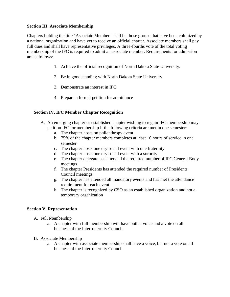#### **Section III. Associate Membership**

Chapters holding the title "Associate Member" shall be those groups that have been colonized by a national organization and have yet to receive an official charter. Associate members shall pay full dues and shall have representative privileges. A three-fourths vote of the total voting membership of the IFC is required to admit an associate member. Requirements for admission are as follows:

- 1. Achieve the official recognition of North Dakota State University.
- 2. Be in good standing with North Dakota State University.
- 3. Demonstrate an interest in IFC.
- 4. Prepare a formal petition for admittance

#### **Section IV. IFC Member Chapter Recognition**

- A. An emerging chapter or established chapter wishing to regain IFC membership may petition IFC for membership if the following criteria are met in one semester:
	- a. The chapter hosts on philanthropy event
	- b. 75% of the chapter members completes at least 10 hours of service in one semester
	- c. The chapter hosts one dry social event with one fraternity
	- d. The chapter hosts one dry social event with a sorority
	- e. The chapter delegate has attended the required number of IFC General Body meetings
	- f. The chapter Presidents has attended the required number of Presidents Council meetings
	- g. The chapter has attended all mandatory events and has met the attendance requirement for each event
	- h. The chapter is recognized by CSO as an established organization and not a temporary organization

#### **Section V. Representation**

- A. Full Membership
	- a. A chapter with full membership will have both a voice and a vote on all business of the Interfraternity Council.
- B. Associate Membership
	- a. A chapter with associate membership shall have a voice, but not a vote on all business of the Interfraternity Council.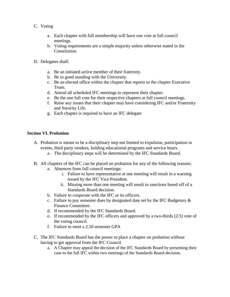- C. Voting
	- a. Each chapter with full membership will have one vote at full council meetings.
	- b. Voting requirements are a simple majority unless otherwise stated in the Constitution
- D. Delegates shall:
	- a. Be an initiated active member of their fraternity.
	- b. Be in good standing with the University.
	- c. Be an elected office within the chapter that reports to the chapter Executive Team.
	- d. Attend all scheduled IFC meetings to represent their chapter.
	- e. Be the one full vote for their respective chapters at full council meetings.
	- f. Raise any issues that their chapter may have considering IFC and/or Fraternity and Sorority Life.
	- g. Each chapter is required to have an IFC delegate

#### **Section VI. Probation**

- A. Probation is meant to be a disciplinary step not limited to expulsion, participation in events, third party vendors, holding educational programs and service hours.
	- a. The disciplinary steps will be determined by the IFC Standards Board.
- B. All chapters of the IFC can be placed on probation for any of the following reasons:
	- a. Absences from full council meetings:
		- i. Failure to have representative at one meeting will result in a warning issued by the IFC Vice President.
		- ii. Missing more than one meeting will result in sanctions based off of a Standards Board decision.
	- b. Failure to cooperate with the IFC or its officers.
	- c. Failure to pay semester dues by designated date set by the IFC Budgetary  $\&$ Finance Committee.
	- d. If recommended by the IFC Standards Board.
	- e. If recommended by the IFC officers and approved by a two-thirds (2/3) vote of the voting council.
	- f. Failure to meet a 2.50 semester GPA
- C. The IFC Standards Board has the power to place a chapter on probation without having to get approval from the IFC Council.
	- a. A Chapter may appeal the decision of the IFC Standards Board by presenting their case to the full IFC within two meetings of the Standards Board decision.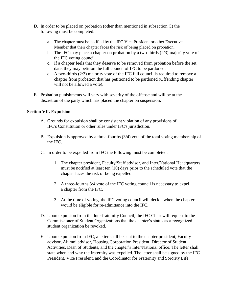- D. In order to be placed on probation (other than mentioned in subsection C) the following must be completed.
	- a. The chapter must be notified by the IFC Vice President or other Executive Member that their chapter faces the risk of being placed on probation.
	- b. The IFC may place a chapter on probation by a two-thirds (2/3) majority vote of the IFC voting council.
	- c. If a chapter feels that they deserve to be removed from probation before the set date, they may petition the full council of IFC to be pardoned.
	- d. A two-thirds (2/3) majority vote of the IFC full council is required to remove a chapter from probation that has petitioned to be pardoned (Offending chapter will not be allowed a vote).
- E. Probation punishments will vary with severity of the offense and will be at the discretion of the party which has placed the chapter on suspension.

#### **Section VII. Expulsion**

- A. Grounds for expulsion shall be consistent violation of any provisions of IFC's Constitution or other rules under IFC's jurisdiction.
- B. Expulsion is approved by a three-fourths (3/4) vote of the total voting membership of the IFC.
- C. In order to be expelled from IFC the following must be completed.
	- 1. The chapter president, Faculty/Staff advisor, and Inter/National Headquarters must be notified at least ten (10) days prior to the scheduled vote that the chapter faces the risk of being expelled.
	- 2. A three-fourths 3/4 vote of the IFC voting council is necessary to expel a chapter from the IFC.
	- 3. At the time of voting, the IFC voting council will decide when the chapter would be eligible for re-admittance into the IFC.
- D. Upon expulsion from the Interfraternity Council, the IFC Chair will request to the Commissioner of Student Organizations that the chapter's status as a recognized student organization be revoked.
- E. Upon expulsion from IFC, a letter shall be sent to the chapter president, Faculty advisor, Alumni advisor, Housing Corporation President, Director of Student Activities, Dean of Students, and the chapter's Inter/National office. The letter shall state when and why the fraternity was expelled. The letter shall be signed by the IFC President, Vice President, and the Coordinator for Fraternity and Sorority Life.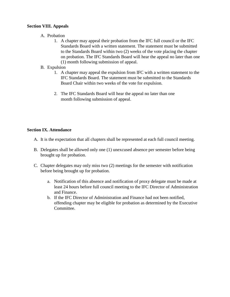#### **Section VIII. Appeals**

- A. Probation
	- 1. A chapter may appeal their probation from the IFC full council or the IFC Standards Board with a written statement. The statement must be submitted to the Standards Board within two (2) weeks of the vote placing the chapter on probation. The IFC Standards Board will hear the appeal no later than one (1) month following submission of appeal.
- B. Expulsion
	- 1. A chapter may appeal the expulsion from IFC with a written statement to the IFC Standards Board. The statement must be submitted to the Standards Board Chair within two weeks of the vote for expulsion.
	- 2. The IFC Standards Board will hear the appeal no later than one month following submission of appeal.

#### **Section IX. Attendance**

- A. It is the expectation that all chapters shall be represented at each full council meeting.
- B. Delegates shall be allowed only one (1) unexcused absence per semester before being brought up for probation.
- C. Chapter delegates may only miss two (2) meetings for the semester with notification before being brought up for probation.
	- a. Notification of this absence and notification of proxy delegate must be made at least 24 hours before full council meeting to the IFC Director of Administration and Finance.
	- b. If the IFC Director of Administration and Finance had not been notified, offending chapter may be eligible for probation as determined by the Executive Committee.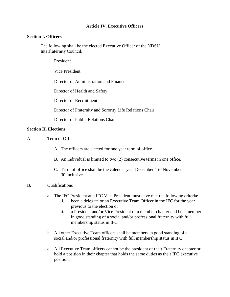#### **Article IV. Executive Officers**

#### **Section I. Officers**

The following shall be the elected Executive Officer of the NDSU Interfraternity Council.

President

Vice President

Director of Administration and Finance

Director of Health and Safety

Director of Recruitment

Director of Fraternity and Sorority Life Relations Chair

Director of Public Relations Chair

#### **Section II. Elections**

- A. Term of Office
	- A. The officers are elected for one year term of office.
	- B. An individual is limited to two (2) consecutive terms in one office.
	- C. Term of office shall be the calendar year December 1 to November 30 inclusive.

#### B. Qualifications

- a. The IFC President and IFC Vice President must have met the following criteria:
	- i. been a delegate or an Executive Team Officer in the IFC for the year previous to the election or
	- ii. a President and/or Vice President of a member chapter and be a member in good standing of a social and/or professional fraternity with full membership status in IFC.
- b. All other Executive Team officers shall be members in good standing of a social and/or professional fraternity with full membership status in IFC.
- c. All Executive Team officers cannot be the president of their Fraternity chapter or hold a position in their chapter that holds the same duties as their IFC executive position.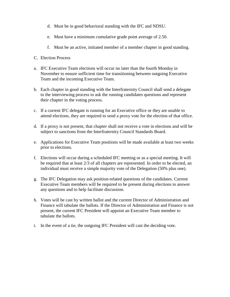- d. Must be in good behavioral standing with the IFC and NDSU.
- e. Must have a minimum cumulative grade point average of 2.50.
- f. Must be an active, initiated member of a member chapter in good standing.
- C. Election Process
- a. IFC Executive Team elections will occur no later than the fourth Monday in November to ensure sufficient time for transitioning between outgoing Executive Team and the incoming Executive Team.
- b. Each chapter in good standing with the Interfraternity Council shall send a delegate to the interviewing process to ask the running candidates questions and represent their chapter in the voting process.
- c. If a current IFC delegate is running for an Executive office or they are unable to attend elections, they are required to send a proxy vote for the election of that office.
- d. If a proxy is not present, that chapter shall not receive a vote in elections and will be subject to sanctions from the Interfraternity Council Standards Board.
- e. Applications for Executive Team positions will be made available at least two weeks prior to elections.
- f. Elections will occur during a scheduled IFC meeting or as a special meeting. It will be required that at least 2/3 of all chapters are represented. In order to be elected, an individual must receive a simple majority vote of the Delegation (50% plus one).
- g. The IFC Delegation may ask position-related questions of the candidates. Current Executive Team members will be required to be present during elections to answer any questions and to help facilitate discussion.
- h. Votes will be cast by written ballot and the current Director of Administration and Finance will tabulate the ballots. If the Director of Administration and Finance is not present, the current IFC President will appoint an Executive Team member to tabulate the ballots.
- i. In the event of a tie, the outgoing IFC President will cast the deciding vote.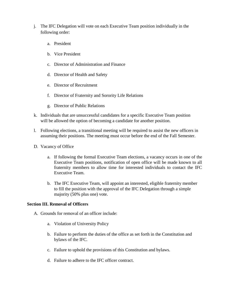- j. The IFC Delegation will vote on each Executive Team position individually in the following order:
	- a. President
	- b. Vice President
	- c. Director of Administration and Finance
	- d. Director of Health and Safety
	- e. Director of Recruitment
	- f. Director of Fraternity and Sorority Life Relations
	- g. Director of Public Relations
- k. Individuals that are unsuccessful candidates for a specific Executive Team position will be allowed the option of becoming a candidate for another position.
- l. Following elections, a transitional meeting will be required to assist the new officers in assuming their positions. The meeting must occur before the end of the Fall Semester.
- D. Vacancy of Office
	- a. If following the formal Executive Team elections, a vacancy occurs in one of the Executive Team positions, notification of open office will be made known to all fraternity members to allow time for interested individuals to contact the IFC Executive Team.
	- b. The IFC Executive Team, will appoint an interested, eligible fraternity member to fill the position with the approval of the IFC Delegation through a simple majority (50% plus one) vote.

#### **Section III. Removal of Officers**

- A. Grounds for removal of an officer include:
	- a. Violation of University Policy
	- b. Failure to perform the duties of the office as set forth in the Constitution and bylaws of the IFC.
	- c. Failure to uphold the provisions of this Constitution and bylaws.
	- d. Failure to adhere to the IFC officer contract.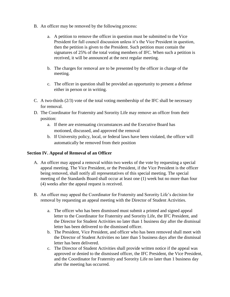- B. An officer may be removed by the following process:
	- a. A petition to remove the officer in question must be submitted to the Vice President for full council discussion unless it's the Vice President in question, then the petition is given to the President. Such petition must contain the signatures of 25% of the total voting members of IFC. When such a petition is received, it will be announced at the next regular meeting.
	- b. The charges for removal are to be presented by the officer in charge of the meeting.
	- c. The officer in question shall be provided an opportunity to present a defense either in person or in writing.
- C. A two-thirds  $(2/3)$  vote of the total voting membership of the IFC shall be necessary for removal.
- D. The Coordinator for Fraternity and Sorority Life may remove an officer from their position:
	- a. If there are extenuating circumstances and the Executive Board has motioned, discussed, and approved the removal
	- b. If University policy, local, or federal laws have been violated, the officer will automatically be removed from their position

#### **Section IV. Appeal of Removal of an Officer**

- A. An officer may appeal a removal within two weeks of the vote by requesting a special appeal meeting. The Vice President, or the President, if the Vice President is the officer being removed, shall notify all representatives of this special meeting. The special meeting of the Standards Board shall occur at least one (1) week but no more than four (4) weeks after the appeal request is received.
- B. An officer may appeal the Coordinator for Fraternity and Sorority Life's decision for removal by requesting an appeal meeting with the Director of Student Activities.
	- a. The officer who has been dismissed must submit a printed and signed appeal letter to the Coordinator for Fraternity and Sorority Life, the IFC President, and the Director for Student Activities no later than 1 business day after the dismissal letter has been delivered to the dismissed officer.
	- b. The President, Vice President, and officer who has been removed shall meet with the Director of Student Activities no later than 5 business days after the dismissal letter has been delivered.
	- c. The Director of Student Activities shall provide written notice if the appeal was approved or denied to the dismissed officer, the IFC President, the Vice President, and the Coordinator for Fraternity and Sorority Life no later than 1 business day after the meeting has occurred.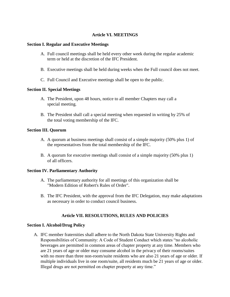#### **Article VI. MEETINGS**

#### **Section I. Regular and Executive Meetings**

- A. Full council meetings shall be held every other week during the regular academic term or held at the discretion of the IFC President.
- B. Executive meetings shall be held during weeks when the Full council does not meet.
- C. Full Council and Executive meetings shall be open to the public.

#### **Section II. Special Meetings**

- A. The President, upon 48 hours, notice to all member Chapters may call a special meeting.
- B. The President shall call a special meeting when requested in writing by 25% of the total voting membership of the IFC.

#### **Section III. Quorum**

- A. A quorum at business meetings shall consist of a simple majority (50% plus 1) of the representatives from the total membership of the IFC.
- B. A quorum for executive meetings shall consist of a simple majority (50% plus 1) of all officers.

#### **Section IV. Parliamentary Authority**

- A. The parliamentary authority for all meetings of this organization shall be "Modern Edition of Robert's Rules of Order".
- B. The IFC President, with the approval from the IFC Delegation, may make adaptations as necessary in order to conduct council business.

#### **Article VII. RESOLUTIONS, RULES AND POLICIES**

#### **Section I. Alcohol/Drug Policy**

A. IFC member fraternities shall adhere to the North Dakota State University Rights and Responsibilities of Community: A Code of Student Conduct which states "no alcoholic beverages are permitted in common areas of chapter property at any time. Members who are 21 years of age or older may consume alcohol in the privacy of their rooms/suites with no more than three non-room/suite residents who are also 21 years of age or older. If multiple individuals live in one room/suite, all residents much be 21 years of age or older. Illegal drugs are not permitted on chapter property at any time."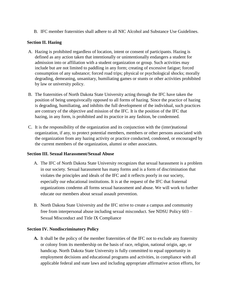B. IFC member fraternities shall adhere to all NIC Alcohol and Substance Use Guidelines.

#### **Section II. Hazing**

- A. Hazing is prohibited regardless of location, intent or consent of participants. Hazing is defined as any action taken that intentionally or unintentionally endangers a student for admission into or affiliation with a student organization or group. Such activities may include but are not limited to paddling in any form; creating of excessive fatigue; forced consumption of any substance; forced road trips; physical or psychological shocks; morally degrading, demeaning, unsanitary, humiliating games or stunts or other activities prohibited by law or university policy.
- B. The fraternities of North Dakota State University acting through the IFC have taken the position of being unequivocally opposed to all forms of hazing. Since the practice of hazing is degrading, humiliating, and inhibits the full development of the individual, such practices are contrary of the objective and mission of the IFC. It is the position of the IFC that hazing, in any form, is prohibited and its practice in any fashion, be condemned.
- C. It is the responsibility of the organization and its conjunction with the (inter)national organization, if any, to protect potential members, members or other persons associated with the organization from any hazing activity or practice conducted, condoned, or encouraged by the current members of the organization, alumni or other associates.

#### **Section III. Sexual Harassment/Sexual Abuse**

- A. The IFC of North Dakota State University recognizes that sexual harassment is a problem in our society. Sexual harassment has many forms and is a form of discrimination that violates the principles and ideals of the IFC and it reflects poorly in our society, especially our educational institutions. It is at the request of the IFC that fraternal organizations condemn all forms sexual harassment and abuse. We will work to further educate our members about sexual assault prevention.
- B. North Dakota State University and the IFC strive to create a campus and community free from interpersonal abuse including sexual misconduct. See NDSU Policy 603 – Sexual Misconduct and Title IX Compliance

#### **Section IV. Nondiscriminatory Policy**

**A.** It shall be the policy of the member fraternities of the IFC not to exclude any fraternity or colony from its membership on the basis of race, religion, national origin, age, or handicap. North Dakota State University is fully committed to equal opportunity in employment decisions and educational programs and activities, in compliance with all applicable federal and state laws and including appropriate affirmative action efforts, for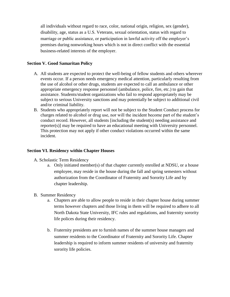all individuals without regard to race, color, national origin, religion, sex (gender), disability, age, status as a U.S. Veterans, sexual orientation, status with regard to marriage or public assistance, or participation in lawful activity off the employer's premises during nonworking hours which is not in direct conflict with the essential business-related interests of the employer.

#### **Section V. Good Samaritan Policy**

- A. All students are expected to protect the well-being of fellow students and others wherever events occur. If a person needs emergency medical attention, particularly resulting from the use of alcohol or other drugs, students are expected to call an ambulance or other appropriate emergency response personnel (ambulance, police, fire, etc.) to gain that assistance. Students/student organizations who fail to respond appropriately may be subject to serious University sanctions and may potentially be subject to additional civil and/or criminal liability.
- B. Students who appropriately report will not be subject to the Student Conduct process for charges related to alcohol or drug use, nor will the incident become part of the student's conduct record. However, all students [including the student(s) needing assistance and reporter(s)] may be required to have an educational meeting with University personnel. This protection may not apply if other conduct violations occurred within the same incident.

#### **Section VI. Residency within Chapter Houses**

- A. Scholastic Term Residency
	- a. Only initiated member(s) of that chapter currently enrolled at NDSU, or a house employee, may reside in the house during the fall and spring semesters without authorization from the Coordinator of Fraternity and Sorority Life and by chapter leadership.
- B. Summer Residency
	- a. Chapters are able to allow people to reside in their chapter house during summer terms however chapters and those living in them will be required to adhere to all North Dakota State University, IFC rules and regulations, and fraternity sorority life polices during their residency.
	- b. Fraternity presidents are to furnish names of the summer house managers and summer residents to the Coordinator of Fraternity and Sorority Life. Chapter leadership is required to inform summer residents of university and fraternity sorority life policies.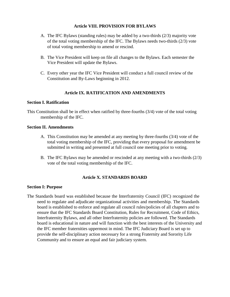#### **Article VIII. PROVISION FOR BYLAWS**

- A. The IFC Bylaws (standing rules) may be added by a two-thirds (2/3) majority vote of the total voting membership of the IFC. The Bylaws needs two-thirds (2/3) vote of total voting membership to amend or rescind.
- B. The Vice President will keep on file all changes to the Bylaws. Each semester the Vice President will update the Bylaws.
- C. Every other year the IFC Vice President will conduct a full council review of the Constitution and By-Laws beginning in 2012.

#### **Article IX. RATIFICATION AND AMENDMENTS**

#### **Section I. Ratification**

This Constitution shall be in effect when ratified by three-fourths (3/4) vote of the total voting membership of the IFC.

#### **Section II. Amendments**

- A. This Constitution may be amended at any meeting by three-fourths (3/4) vote of the total voting membership of the IFC, providing that every proposal for amendment be submitted in writing and presented at full council one meeting prior to voting.
- B. The IFC Bylaws may be amended or rescinded at any meeting with a two-thirds (2/3) vote of the total voting membership of the IFC.

#### **Article X. STANDARDS BOARD**

#### **Section I: Purpose**

The Standards board was established because the Interfraternity Council (IFC) recognized the need to regulate and adjudicate organizational activities and membership. The Standards board is established to enforce and regulate all council rules/policies of all chapters and to ensure that the IFC Standards Board Constitution, Rules for Recruitment, Code of Ethics, Interfraternity Bylaws, and all other Interfraternity policies are followed. The Standards board is educational in nature and will function with the best interests of the University and the IFC member fraternities uppermost in mind. The IFC Judiciary Board is set up to provide the self-disciplinary action necessary for a strong Fraternity and Sorority Life Community and to ensure an equal and fair judiciary system.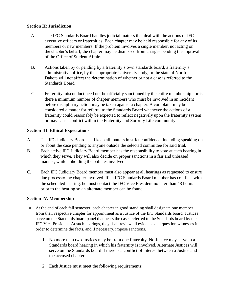#### **Section II: Jurisdiction**

- A. The IFC Standards Board handles judicial matters that deal with the actions of IFC executive officers or fraternities. Each chapter may be held responsible for any of its members or new members. If the problem involves a single member, not acting on the chapter's behalf, the chapter may be dismissed from charges pending the approval of the Office of Student Affairs.
- B. Actions taken by or pending by a fraternity's own standards board, a fraternity's administrative office, by the appropriate University body, or the state of North Dakota will not affect the determination of whether or not a case is referred to the Standards Board.
- C. Fraternity misconduct need not be officially sanctioned by the entire membership nor is there a minimum number of chapter members who must be involved in an incident before disciplinary action may be taken against a chapter. A complaint may be considered a matter for referral to the Standards Board whenever the actions of a fraternity could reasonably be expected to reflect negatively upon the fraternity system or may cause conflict within the Fraternity and Sorority Life community.

#### **Section III. Ethical Expectations**

- A. The IFC Judiciary Board shall keep all matters in strict confidence. Including speaking on or about the case pending to anyone outside the selected committee for said trial.
- B. Each active IFC Judiciary Board member has the responsibility to vote at each hearing in which they serve. They will also decide on proper sanctions in a fair and unbiased manner, while upholding the policies involved.
- C. Each IFC Judiciary Board member must also appear at all hearings as requested to ensure due processto the chapter involved. If an IFC Standards Board member has conflicts with the scheduled hearing, he must contact the IFC Vice President no later than 48 hours prior to the hearing so an alternate member can be found.

#### **Section IV. Membership**

- A. At the end of each fall semester, each chapter in good standing shall designate one member from their respective chapter for appointment as a Justice of the IFC Standards board. Justices serve on the Standards board panel that hears the cases referred to the Standards board by the IFC Vice President. At such hearings, they shall review all evidence and question witnesses in order to determine the facts, and if necessary, impose sanctions.
	- 1. No more than two Justices may be from one fraternity. No Justice may serve in a Standards board hearing in which his fraternity is involved. Alternate Justices will serve on the Standards board if there is a conflict of interest between a Justice and the accused chapter.
	- 2. Each Justice must meet the following requirements: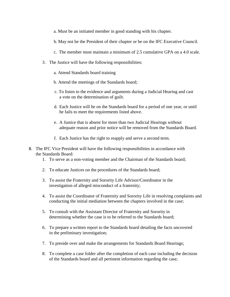- a. Must be an initiated member in good standing with his chapter.
- b. May not be the President of their chapter or be on the IFC Executive Council.
- c. The member must maintain a minimum of 2.5 cumulative GPA on a 4.0 scale.
- 3. The Justice will have the following responsibilities:
	- a. Attend Standards board training
	- b. Attend the meetings of the Standards board;
	- c. To listen to the evidence and arguments during a Judicial Hearing and cast a vote on the determination of guilt.
	- d. Each Justice will be on the Standards board for a period of one year, or until he fails to meet the requirements listed above.
	- e. A Justice that is absent for more than two Judicial Hearings without adequate reason and prior notice will be removed from the Standards Board.
	- f. Each Justice has the right to reapply and serve a second term.
- B. The IFC Vice President will have the following responsibilities in accordance with the Standards Board:
	- 1. To serve as a non-voting member and the Chairman of the Standards board;
	- 2. To educate Justices on the procedures of the Standards board;
	- 3. To assist the Fraternity and Sorority Life Advisor/Coordinator in the investigation of alleged misconduct of a fraternity;
	- 4. To assist the Coordinator of Fraternity and Sorority Life in resolving complaints and conducting the initial mediation between the chapters involved in the case;
	- 5. To consult with the Assistant Director of Fraternity and Sorority in determining whether the case is to be referred to the Standards board;
	- 6. To prepare a written report to the Standards board detailing the facts uncovered in the preliminary investigation;
	- 7. To preside over and make the arrangements for Standards Board Hearings;
	- 8. To complete a case folder after the completion of each case including the decision of the Standards board and all pertinent information regarding the case;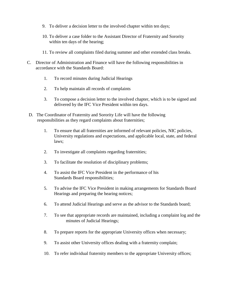- 9. To deliver a decision letter to the involved chapter within ten days;
- 10. To deliver a case folder to the Assistant Director of Fraternity and Sorority within ten days of the hearing;
- 11. To review all complaints filed during summer and other extended class breaks.
- C. Director of Administration and Finance will have the following responsibilities in accordance with the Standards Board:
	- 1. To record minutes during Judicial Hearings
	- 2. To help maintain all records of complaints
	- 3. To compose a decision letter to the involved chapter, which is to be signed and delivered by the IFC Vice President within ten days.
- D. The Coordinator of Fraternity and Sorority Life will have the following responsibilities as they regard complaints about fraternities;
	- 1. To ensure that all fraternities are informed of relevant policies, NIC policies, University regulations and expectations, and applicable local, state, and federal laws;
	- 2. To investigate all complaints regarding fraternities;
	- 3. To facilitate the resolution of disciplinary problems;
	- 4. To assist the IFC Vice President in the performance of his Standards Board responsibilities;
	- 5. To advise the IFC Vice President in making arrangements for Standards Board Hearings and preparing the hearing notices;
	- 6. To attend Judicial Hearings and serve as the advisor to the Standards board;
	- 7. To see that appropriate records are maintained, including a complaint log and the minutes of Judicial Hearings;
	- 8. To prepare reports for the appropriate University offices when necessary;
	- 9. To assist other University offices dealing with a fraternity complain;
	- 10. To refer individual fraternity members to the appropriate University offices;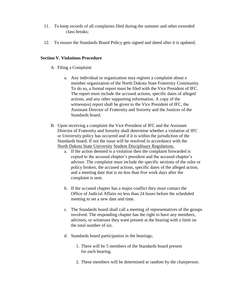- 11. To keep records of all complaints filed during the summer and other extended class breaks;
- 12. To ensure the Standards Board Policy gets signed and dated after it is updated;

#### **Section V. Violations Procedure**

- A. Filing a Complaint
	- a. Any individual or organization may register a complaint about a member organization of the North Dakota State Fraternity Community. To do so, a formal report must be filed with the Vice President of IFC. The report must include the accused actions, specific dates of alleged actions, and any other supporting information. A copy of the witness(es) report shall be given to the Vice President of IFC, the Assistant Director of Fraternity and Sorority and the Justices of the Standards board.
- B. Upon receiving a complaint the Vice President of IFC and the Assistant Director of Fraternity and Sorority shall determine whether a violation of IFC or University policy has occurred and if it is within the jurisdiction of the Standards board. If not the issue will be resolved in accordance with the North Dakota State University Student Disciplinary Regulations.
	- a. If the action deemed is a violation then the complaint forwarded is copied to the accused chapter's president and the accused chapter's advisor. The complaint must include the specific sections of the rules or policy broken, the accused actions, specific dates of the alleged action, and a meeting date that is no less than five work days after the complaint is sent.
	- b. If the accused chapter has a major conflict they must contact the Office of Judicial Affairs no less than 24 hours before the scheduled meeting to set a new date and time.
	- c. The Standards board shall call a meeting of representatives of the groups involved. The responding chapter has the right to have any members, advisors, or witnesses they want present at the hearing with a limit on the total number of six.
	- d. Standards board participation in the hearings;
		- 1. There will be 5 members of the Standards board present for each hearing.
		- 2. These members will be determined at random by the chairperson.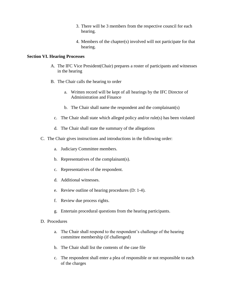- 3. There will be 3 members from the respective council for each hearing.
- 4. Members of the chapter(s) involved will not participate for that hearing.

#### **Section VI. Hearing Processes**

- A. The IFC Vice President(Chair) prepares a roster of participants and witnesses in the hearing
- B. The Chair calls the hearing to order
	- a. Written record will be kept of all hearings by the IFC Director of Administration and Finance
	- b. The Chair shall name the respondent and the complainant(s)
	- c. The Chair shall state which alleged policy and/or rule(s) has been violated
	- d. The Chair shall state the summary of the allegations
- C. The Chair gives instructions and introductions in the following order:
	- a. Judiciary Committee members.
	- b. Representatives of the complainant(s).
	- c. Representatives of the respondent.
	- d. Additional witnesses.
	- e. Review outline of hearing procedures (D: 1-4).
	- f. Review due process rights.
	- g. Entertain procedural questions from the hearing participants.
- D. Procedures
	- a. The Chair shall respond to the respondent's challenge of the hearing committee membership (if challenged)
	- b. The Chair shall list the contents of the case file
	- c. The respondent shall enter a plea of responsible or not responsible to each of the charges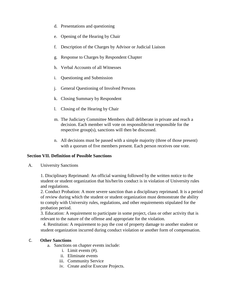- d. Presentations and questioning
- e. Opening of the Hearing by Chair
- f. Description of the Charges by Advisor or Judicial Liaison
- g. Response to Charges by Respondent Chapter
- h. Verbal Accounts of all Witnesses
- i. Questioning and Submission
- j. General Questioning of Involved Persons
- k. Closing Summary by Respondent
- l. Closing of the Hearing by Chair
- m. The Judiciary Committee Members shall deliberate in private and reach a decision. Each member will vote on responsible/not responsible for the respective group(s), sanctions will then be discussed.
- n. All decisions must be passed with a simple majority (three of those present) with a quorum of five members present. Each person receives one vote.

#### **Section VII. Definition of Possible Sanctions**

A. University Sanctions

1. Disciplinary Reprimand: An official warning followed by the written notice to the student or student organization that his/her/its conduct is in violation of University rules and regulations.

2. Conduct Probation: A more severe sanction than a disciplinary reprimand. It is a period of review during which the student or student organization must demonstrate the ability to comply with University rules, regulations, and other requirements stipulated for the probation period.

3. Education: A requirement to participate in some project, class or other activity that is relevant to the nature of the offense and appropriate for the violation.

4. Restitution: A requirement to pay the cost of property damage to another student or student organization incurred during conduct violation or another form of compensation.

#### C. **Other Sanctions**

- a. Sanctions on chapter events include:
	- i. Limit events (#).
	- ii. Eliminate events
	- iii. Community Service
	- iv. Create and/or Execute Projects.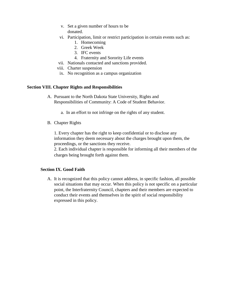- v. Set a given number of hours to be donated.
- vi. Participation, limit or restrict participation in certain events such as:
	- 1. Homecoming
	- 2. Greek Week
	- 3. IFC events
	- 4. Fraternity and Sorority Life events
- vii. Nationals contacted and sanctions provided.
- viii. Charter suspension
- ix. No recognition as a campus organization

#### **Section VIII. Chapter Rights and Responsibilities**

- A. Pursuant to the North Dakota State University, Rights and Responsibilities of Community: A Code of Student Behavior.
	- a. In an effort to not infringe on the rights of any student.
- B. Chapter Rights

1. Every chapter has the right to keep confidential or to disclose any information they deem necessary about the charges brought upon them, the proceedings, or the sanctions they receive.

2. Each individual chapter is responsible for informing all their members of the charges being brought forth against them.

#### **Section IX. Good Faith**

A. It is recognized that this policy cannot address, in specific fashion, all possible social situations that may occur. When this policy is not specific on a particular point, the Interfraternity Council, chapters and their members are expected to conduct their events and themselves in the spirit of social responsibility expressed in this policy.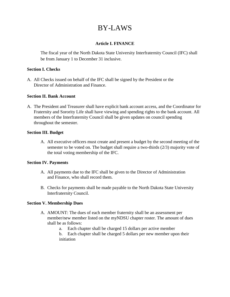## BY-LAWS

#### **Article I. FINANCE**

The fiscal year of the North Dakota State University Interfraternity Council (IFC) shall be from January 1 to December 31 inclusive.

#### **Section I. Checks**

A. All Checks issued on behalf of the IFC shall be signed by the President or the Director of Administration and Finance.

#### **Section II. Bank Account**

A. The President and Treasurer shall have explicit bank account access, and the Coordinator for Fraternity and Sorority Life shall have viewing and spending rights to the bank account. All members of the Interfraternity Council shall be given updates on council spending throughout the semester.

#### **Section III. Budget**

A. All executive officers must create and present a budget by the second meeting of the semester to be voted on. The budget shall require a two-thirds (2/3) majority vote of the total voting membership of the IFC.

#### **Section IV. Payments**

- A. All payments due to the IFC shall be given to the Director of Administration and Finance, who shall record them.
- B. Checks for payments shall be made payable to the North Dakota State University Interfraternity Council.

#### **Section V. Membership Dues**

- A. AMOUNT: The dues of each member fraternity shall be an assessment per member/new member listed on the myNDSU chapter roster. The amount of dues shall be as follows:
	- a. Each chapter shall be charged 15 dollars per active member
	- b. Each chapter shall be charged 5 dollars per new member upon their initiation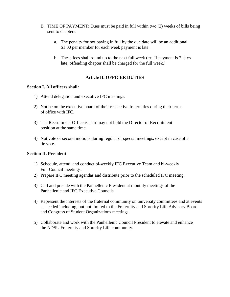- B. TIME OF PAYMENT: Dues must be paid in full within two (2) weeks of bills being sent to chapters.
	- a. The penalty for not paying in full by the due date will be an additional \$1.00 per member for each week payment is late.
	- b. These fees shall round up to the next full week (ex. If payment is 2 days late, offending chapter shall be charged for the full week.)

#### **Article II. OFFICER DUTIES**

#### **Section I. All officers shall:**

- 1) Attend delegation and executive IFC meetings.
- 2) Not be on the executive board of their respective fraternities during their terms of office with IFC.
- 3) The Recruitment Officer/Chair may not hold the Director of Recruitment position at the same time.
- 4) Not vote or second motions during regular or special meetings, except in case of a tie vote.

#### **Section II. President**

- 1) Schedule, attend, and conduct bi-weekly IFC Executive Team and bi-weekly Full Council meetings.
- 2) Prepare IFC meeting agendas and distribute prior to the scheduled IFC meeting.
- 3) Call and preside with the Panhellenic President at monthly meetings of the Panhellenic and IFC Executive Councils
- 4) Represent the interests of the fraternal community on university committees and at events as needed including, but not limited to the Fraternity and Sorority Life Advisory Board and Congress of Student Organizations meetings.
- 5) Collaborate and work with the Panhellenic Council President to elevate and enhance the NDSU Fraternity and Sorority Life community.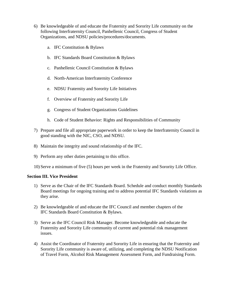- 6) Be knowledgeable of and educate the Fraternity and Sorority Life community on the following Interfraternity Council, Panhellenic Council, Congress of Student Organizations, and NDSU policies/procedures/documents.
	- a. IFC Constitution & Bylaws
	- b. IFC Standards Board Constitution & Bylaws
	- c. Panhellenic Council Constitution & Bylaws
	- d. North-American Interfraternity Conference
	- e. NDSU Fraternity and Sorority Life Initiatives
	- f. Overview of Fraternity and Sorority Life
	- g. Congress of Student Organizations Guidelines
	- h. Code of Student Behavior: Rights and Responsibilities of Community
- 7) Prepare and file all appropriate paperwork in order to keep the Interfraternity Council in good standing with the NIC, CSO, and NDSU.
- 8) Maintain the integrity and sound relationship of the IFC.
- 9) Perform any other duties pertaining to this office.
- 10) Serve a minimum of five (5) hours per week in the Fraternity and Sorority Life Office.

#### **Section III. Vice President**

- 1) Serve as the Chair of the IFC Standards Board. Schedule and conduct monthly Standards Board meetings for ongoing training and to address potential IFC Standards violations as they arise.
- 2) Be knowledgeable of and educate the IFC Council and member chapters of the IFC Standards Board Constitution & Bylaws.
- 3) Serve as the IFC Council Risk Manager. Become knowledgeable and educate the Fraternity and Sorority Life community of current and potential risk management issues.
- 4) Assist the Coordinator of Fraternity and Sorority Life in ensuring that the Fraternity and Sorority Life community is aware of, utilizing, and completing the NDSU Notification of Travel Form, Alcohol Risk Management Assessment Form, and Fundraising Form.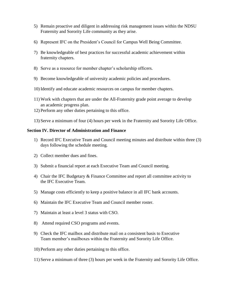- 5) Remain proactive and diligent in addressing risk management issues within the NDSU Fraternity and Sorority Life community as they arise.
- 6) Represent IFC on the President's Council for Campus Well Being Committee.
- 7) Be knowledgeable of best practices for successful academic achievement within fraternity chapters.
- 8) Serve as a resource for member chapter's scholarship officers.
- 9) Become knowledgeable of university academic policies and procedures.
- 10) Identify and educate academic resources on campus for member chapters.
- 11) Work with chapters that are under the All-Fraternity grade point average to develop an academic progress plan.
- 12) Perform any other duties pertaining to this office.
- 13) Serve a minimum of four (4) hours per week in the Fraternity and Sorority Life Office.

#### **Section IV. Director of Administration and Finance**

- 1) Record IFC Executive Team and Council meeting minutes and distribute within three (3) days following the schedule meeting.
- 2) Collect member dues and fines.
- 3) Submit a financial report at each Executive Team and Council meeting.
- 4) Chair the IFC Budgetary & Finance Committee and report all committee activity to the IFC Executive Team.
- 5) Manage costs efficiently to keep a positive balance in all IFC bank accounts.
- 6) Maintain the IFC Executive Team and Council member roster.
- 7) Maintain at least a level 3 status with CSO.
- 8) Attend required CSO programs and events.
- 9) Check the IFC mailbox and distribute mail on a consistent basis to Executive Team member's mailboxes within the Fraternity and Sorority Life Office.
- 10) Perform any other duties pertaining to this office.
- 11) Serve a minimum of three (3) hours per week in the Fraternity and Sorority Life Office.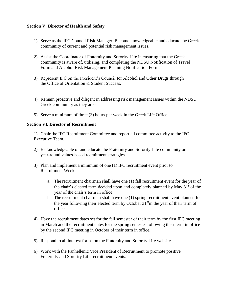#### **Section V. Director of Health and Safety**

- 1) Serve as the IFC Council Risk Manager. Become knowledgeable and educate the Greek community of current and potential risk management issues.
- 2) Assist the Coordinator of Fraternity and Sorority Life in ensuring that the Greek community is aware of, utilizing, and completing the NDSU Notification of Travel Form and Alcohol Risk Management Planning Notification Form.
- 3) Represent IFC on the President's Council for Alcohol and Other Drugs through the Office of Orientation & Student Success.
- 4) Remain proactive and diligent in addressing risk management issues within the NDSU Greek community as they arise
- 5) Serve a minimum of three (3) hours per week in the Greek Life Office

#### **Section VI. Director of Recruitment**

1) Chair the IFC Recruitment Committee and report all committee activity to the IFC Executive Team.

- 2) Be knowledgeable of and educate the Fraternity and Sorority Life community on year-round values-based recruitment strategies.
- 3) Plan and implement a minimum of one (1) IFC recruitment event prior to Recruitment Week.
	- a. The recruitment chairman shall have one (1) fall recruitment event for the year of the chair's elected term decided upon and completely planned by May  $31<sup>st</sup>$ of the year of the chair's term in office.
	- b. The recruitment chairman shall have one (1) spring recruitment event planned for the year following their elected term by October  $31<sup>st</sup>$  in the year of their term of office.
- 4) Have the recruitment dates set for the fall semester of their term by the first IFC meeting in March and the recruitment dates for the spring semester following their term in office by the second IFC meeting in October of their term in office.
- 5) Respond to all interest forms on the Fraternity and Sorority Life website
- 6) Work with the Panhellenic Vice President of Recruitment to promote positive Fraternity and Sorority Life recruitment events.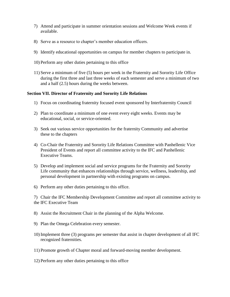- 7) Attend and participate in summer orientation sessions and Welcome Week events if available.
- 8) Serve as a resource to chapter's member education officers.
- 9) Identify educational opportunities on campus for member chapters to participate in.
- 10) Perform any other duties pertaining to this office
- 11) Serve a minimum of five (5) hours per week in the Fraternity and Sorority Life Office during the first three and last three weeks of each semester and serve a minimum of two and a half (2.5) hours during the weeks between.

#### **Section VII. Director of Fraternity and Sorority Life Relations**

- 1) Focus on coordinating fraternity focused event sponsored by Interfraternity Council
- 2) Plan to coordinate a minimum of one event every eight weeks. Events may be educational, social, or service-oriented.
- 3) Seek out various service opportunities for the fraternity Community and advertise these to the chapters
- 4) Co-Chair the Fraternity and Sorority Life Relations Committee with Panhellenic Vice President of Events and report all committee activity to the IFC and Panhellenic Executive Teams.
- 5) Develop and implement social and service programs for the Fraternity and Sorority Life community that enhances relationships through service, wellness, leadership, and personal development in partnership with existing programs on campus.
- 6) Perform any other duties pertaining to this office.

7) Chair the IFC Membership Development Committee and report all committee activity to the IFC Executive Team

- 8) Assist the Recruitment Chair in the planning of the Alpha Welcome.
- 9) Plan the Omega Celebration every semester.
- 10) Implement three (3) programs per semester that assist in chapter development of all IFC recognized fraternities.
- 11) Promote growth of Chapter moral and forward-moving member development.
- 12) Perform any other duties pertaining to this office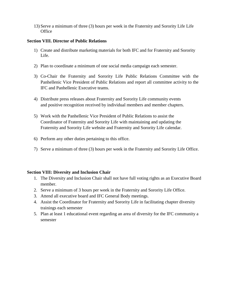13) Serve a minimum of three (3) hours per week in the Fraternity and Sorority Life Life **Office** 

#### **Section VIII. Director of Public Relations**

- 1) Create and distribute marketing materials for both IFC and for Fraternity and Sorority Life.
- 2) Plan to coordinate a minimum of one social media campaign each semester.
- 3) Co-Chair the Fraternity and Sorority Life Public Relations Committee with the Panhellenic Vice President of Public Relations and report all committee activity to the IFC and Panhellenic Executive teams.
- 4) Distribute press releases about Fraternity and Sorority Life community events and positive recognition received by individual members and member chapters.
- 5) Work with the Panhellenic Vice President of Public Relations to assist the Coordinator of Fraternity and Sorority Life with maintaining and updating the Fraternity and Sorority Life website and Fraternity and Sorority Life calendar.
- 6) Perform any other duties pertaining to this office.
- 7) Serve a minimum of three (3) hours per week in the Fraternity and Sorority Life Office.

#### **Section VIII: Diversity and Inclusion Chair**

- 1. The Diversity and Inclusion Chair shall not have full voting rights as an Executive Board member.
- 2. Serve a minimum of 3 hours per week in the Fraternity and Sorority Life Office.
- 3. Attend all executive board and IFC General Body meetings.
- 4. Assist the Coordinator for Fraternity and Sorority Life in facilitating chapter diversity trainings each semester
- 5. Plan at least 1 educational event regarding an area of diversity for the IFC community a semester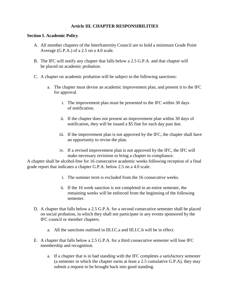#### **Article III. CHAPTER RESPONSIBILITIES**

#### **Section I. Academic Policy**

- A. All member chapters of the Interfraternity Council are to hold a minimum Grade Point Average (G.P.A.) of a 2.5 on a 4.0 scale.
- B. The IFC will notify any chapter that falls below a 2.5 G.P.A. and that chapter will be placed on academic probation.
- C. A chapter on academic probation will be subject to the following sanctions:
	- a. The chapter must devise an academic improvement plan, and present it to the IFC for approval.
		- i. The improvement plan must be presented to the IFC within 30 days of notification.
		- ii. If the chapter does not present an improvement plan within 30 days of notification, they will be issued a \$5 fine for each day past due.
		- iii. If the improvement plan is not approved by the IFC, the chapter shall have an opportunity to revise the plan.
		- iv. If a revised improvement plan is not approved by the IFC, the IFC will make necessary revisions to bring a chapter to compliance.

A chapter shall be alcohol-free for 16 consecutive academic weeks following reception of a final grade report that indicates a chapter G.P.A. below 2.5 on a 4.0 scale.

- i. The summer term is excluded from the 16 consecutive weeks.
- ii. If the 16 week sanction is not completed in an entire semester, the remaining weeks will be enforced from the beginning of the following semester.
- D. A chapter that falls below a 2.5 G.P.A. for a second consecutive semester shall be placed on social probation, in which they shall not participate in any events sponsored by the IFC council or member chapters.
	- a. All the sanctions outlined in III.I.C.a and III.I.C.b will be in effect.
- E. A chapter that falls below a 2.5 G.P.A. for a third consecutive semester will lose IFC membership and recognition.
	- a. If a chapter that is in bad standing with the IFC completes a satisfactory semester (a semester in which the chapter earns at least a 2.5 cumulative G.P.A), they may submit a request to be brought back into good standing.